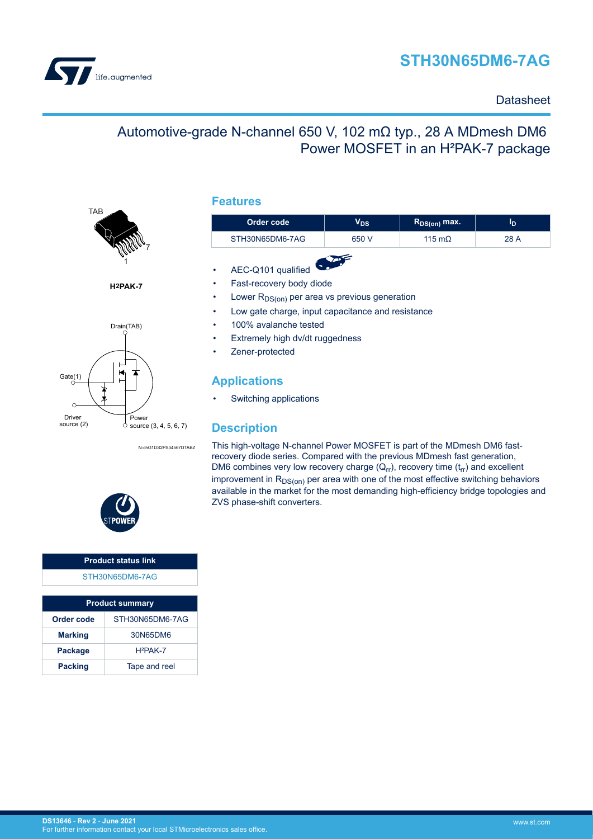



### **Datasheet**

## Automotive-grade N-channel 650 V, 102 mΩ typ., 28 A MDmesh DM6 Power MOSFET in an H²PAK-7 package



**H2PAK-7**



N-chG1DS2PS34567DTABZ

### **Features**

| Order code      | V <sub>DS</sub> | $R_{DS(on)}$ max. | ΙD   |
|-----------------|-----------------|-------------------|------|
| STH30N65DM6-7AG | 650 V           | 115 m $\Omega$    | 28 A |

- AEC-Q101 qualified
- Fast-recovery body diode
- Lower  $R_{DS(on)}$  per area vs previous generation
- Low gate charge, input capacitance and resistance
- 100% avalanche tested
- Extremely high dv/dt ruggedness
- Zener-protected

### **Applications**

• Switching applications

### **Description**

This high-voltage N-channel Power MOSFET is part of the MDmesh DM6 fastrecovery diode series. Compared with the previous MDmesh fast generation, DM6 combines very low recovery charge  $(Q_{rr})$ , recovery time  $(t_{rr})$  and excellent improvement in  $R_{DS(on)}$  per area with one of the most effective switching behaviors available in the market for the most demanding high-efficiency bridge topologies and ZVS phase-shift converters.



# **Product status link**

|  | STH30N65DM6-7AG |  |  |  |  |
|--|-----------------|--|--|--|--|
|  |                 |  |  |  |  |

| <b>Product summary</b>          |          |  |  |  |
|---------------------------------|----------|--|--|--|
| Order code<br>STH30N65DM6-7AG   |          |  |  |  |
| <b>Marking</b>                  | 30N65DM6 |  |  |  |
| $H^2PAK-7$<br><b>Package</b>    |          |  |  |  |
| Tape and reel<br><b>Packing</b> |          |  |  |  |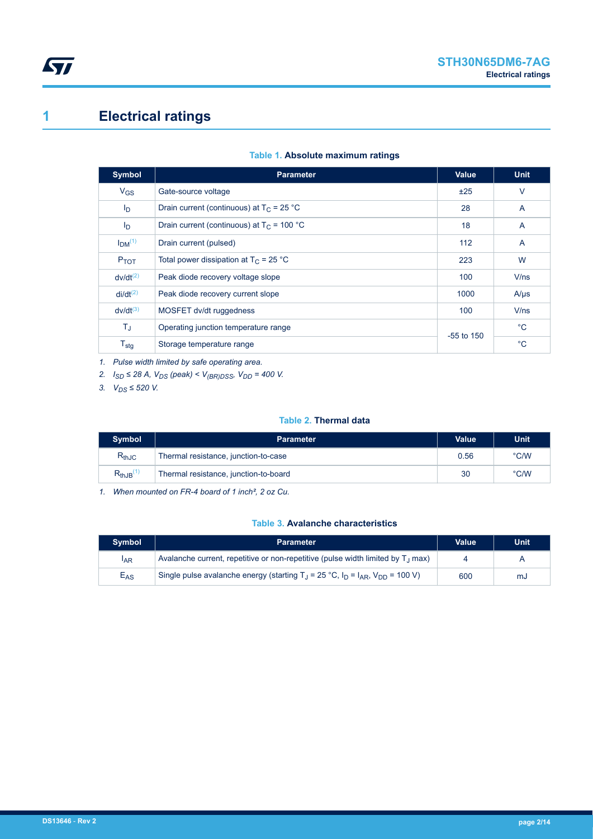# <span id="page-1-0"></span>**1 Electrical ratings**

| Table 1. Absolute maximum ratings |
|-----------------------------------|
|-----------------------------------|

| Symbol                         | <b>Parameter</b>                             | Value        | <b>Unit</b>    |
|--------------------------------|----------------------------------------------|--------------|----------------|
| $V_{GS}$                       | Gate-source voltage                          | ±25          | $\vee$         |
| I <sub>D</sub>                 | Drain current (continuous) at $T_c = 25 °C$  | 28           | $\overline{A}$ |
| I <sub>D</sub>                 | Drain current (continuous) at $T_C = 100 °C$ | 18           | A              |
| I <sub>DM</sub> <sup>(1)</sup> | Drain current (pulsed)                       | 112          | $\overline{A}$ |
| $P_{TOT}$                      | Total power dissipation at $T_C = 25 °C$     | 223          | W              |
| $dv/dt^{(2)}$                  | Peak diode recovery voltage slope            | 100          | V/ns           |
| $di/dt^{(2)}$                  | Peak diode recovery current slope            | 1000         | $A/\mu s$      |
| $dv/dt^{(3)}$                  | MOSFET dv/dt ruggedness                      | 100          | V/ns           |
| ΤJ                             | Operating junction temperature range         | $-55$ to 150 | $^{\circ}$ C   |
| $T_{\text{stg}}$               | Storage temperature range                    |              | $^{\circ}C$    |

*1. Pulse width limited by safe operating area.*

*2. ISD ≤ 28 A, VDS (peak) < V(BR)DSS, VDD = 400 V.*

*3. VDS ≤ 520 V.*

### **Table 2. Thermal data**

| <b>Symbol</b>             | <b>Parameter</b>                      | <b>Value</b> | <b>Unit</b>   |
|---------------------------|---------------------------------------|--------------|---------------|
| $R_{thJC}$                | Thermal resistance, junction-to-case  | 0.56         | $\degree$ C/W |
| $R_{thJB}$ <sup>(1)</sup> | Thermal resistance, junction-to-board | 30           | $\degree$ C/W |

*1. When mounted on FR-4 board of 1 inch², 2 oz Cu.*

#### **Table 3. Avalanche characteristics**

| <b>Symbol</b>   | <b>Parameter</b>                                                                             | Value | Unit |
|-----------------|----------------------------------------------------------------------------------------------|-------|------|
| <sup>I</sup> AR | Avalanche current, repetitive or non-repetitive (pulse width limited by T <sub>.1</sub> max) |       | A    |
| $E_{AS}$        | Single pulse avalanche energy (starting $T_1 = 25 °C$ , $I_D = I_{AR}$ , $V_{DD} = 100 V$ )  | 600   | mJ   |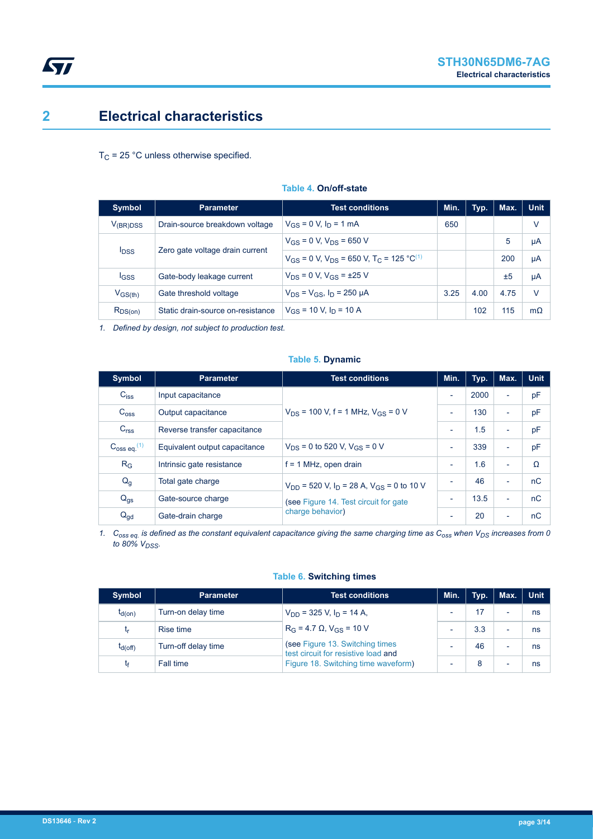# <span id="page-2-0"></span>**2 Electrical characteristics**

 $T_{\text{C}}$  = 25 °C unless otherwise specified.

| <b>Symbol</b>           | <b>Parameter</b>                  | <b>Test conditions</b>                                                   | Min. | Typ. | Max. | <b>Unit</b> |
|-------------------------|-----------------------------------|--------------------------------------------------------------------------|------|------|------|-------------|
| V <sub>(BR)DSS</sub>    | Drain-source breakdown voltage    | $V_{CS} = 0$ V, $I_D = 1$ mA                                             | 650  |      |      | v           |
|                         |                                   | $V_{GS} = 0$ V, $V_{DS} = 650$ V                                         |      |      | 5    | μA          |
| <b>I</b> <sub>DSS</sub> | Zero gate voltage drain current   | $V_{GS}$ = 0 V, $V_{DS}$ = 650 V, T <sub>C</sub> = 125 °C <sup>(1)</sup> |      |      | 200  | μA          |
| <b>IGSS</b>             | Gate-body leakage current         | $V_{DS} = 0 V$ , $V_{GS} = \pm 25 V$                                     |      |      | ±5   | μA          |
| $V_{GS(th)}$            | Gate threshold voltage            | $V_{DS} = V_{GS}$ , $I_D = 250 \mu A$                                    | 3.25 | 4.00 | 4.75 | V           |
| $R_{DS(on)}$            | Static drain-source on-resistance | $V_{GS}$ = 10 V, $I_D$ = 10 A                                            |      | 102  | 115  | $m\Omega$   |

#### **Table 4. On/off-state**

*1. Defined by design, not subject to production test.*

### **Table 5. Dynamic**

| <b>Symbol</b>           | <b>Parameter</b>              | <b>Test conditions</b>                                               | Min.                     | Typ. | Max.                     | <b>Unit</b> |
|-------------------------|-------------------------------|----------------------------------------------------------------------|--------------------------|------|--------------------------|-------------|
| $C_{iss}$               | Input capacitance             |                                                                      | $\overline{\phantom{a}}$ | 2000 | $\overline{\phantom{a}}$ | pF          |
| C <sub>oss</sub>        | Output capacitance            | $V_{DS}$ = 100 V, f = 1 MHz, $V_{GS}$ = 0 V                          | $\overline{\phantom{0}}$ | 130  | $\blacksquare$           | pF          |
| C <sub>rss</sub>        | Reverse transfer capacitance  |                                                                      | $\overline{\phantom{a}}$ | 1.5  | $\blacksquare$           | pF          |
| $C_{\rm 0SS}$ eq. $(1)$ | Equivalent output capacitance | $V_{DS}$ = 0 to 520 V, $V_{GS}$ = 0 V                                | $\overline{\phantom{a}}$ | 339  | $\overline{\phantom{a}}$ | pF          |
| $R_G$                   | Intrinsic gate resistance     | $f = 1$ MHz, open drain                                              | $\overline{\phantom{a}}$ | 1.6  | $\overline{\phantom{0}}$ | $\Omega$    |
| $Q_g$                   | Total gate charge             | $V_{DD}$ = 520 V, I <sub>D</sub> = 28 A, V <sub>GS</sub> = 0 to 10 V |                          | 46   | $\overline{a}$           | nC          |
| $Q_{gs}$                | Gate-source charge            | (see Figure 14. Test circuit for gate                                | $\overline{\phantom{a}}$ | 13.5 | $\blacksquare$           | nC          |
| $Q_{gd}$                | Gate-drain charge             | charge behavior)                                                     | ٠                        | 20   | $\overline{\phantom{a}}$ | nC          |

*1. Coss eq. is defined as the constant equivalent capacitance giving the same charging time as Coss when VDS increases from 0 to 80% VDSS.*

### **Table 6. Switching times**

| <b>Symbol</b> | <b>Parameter</b>    | <b>Test conditions</b>                                                                                         | Min.                     | Tvp. | Max.                     | <b>Unit</b> |
|---------------|---------------------|----------------------------------------------------------------------------------------------------------------|--------------------------|------|--------------------------|-------------|
| $t_{d(on)}$   | Turn-on delay time  | $V_{DD}$ = 325 V, $I_D$ = 14 A,                                                                                | $\overline{\phantom{0}}$ |      | $\overline{\phantom{0}}$ | ns          |
| <b>Lr</b>     | Rise time           | $R_G = 4.7 \Omega$ , $V_{GS} = 10 V$                                                                           | $\overline{\phantom{0}}$ | 3.3  |                          | ns          |
| $t_{d(Off)}$  | Turn-off delay time | (see Figure 13. Switching times)<br>test circuit for resistive load and<br>Figure 18. Switching time waveform) | $\overline{\phantom{0}}$ | 46   |                          | ns          |
| lք            | Fall time           |                                                                                                                | $\overline{\phantom{0}}$ |      | $\overline{\phantom{0}}$ | ns          |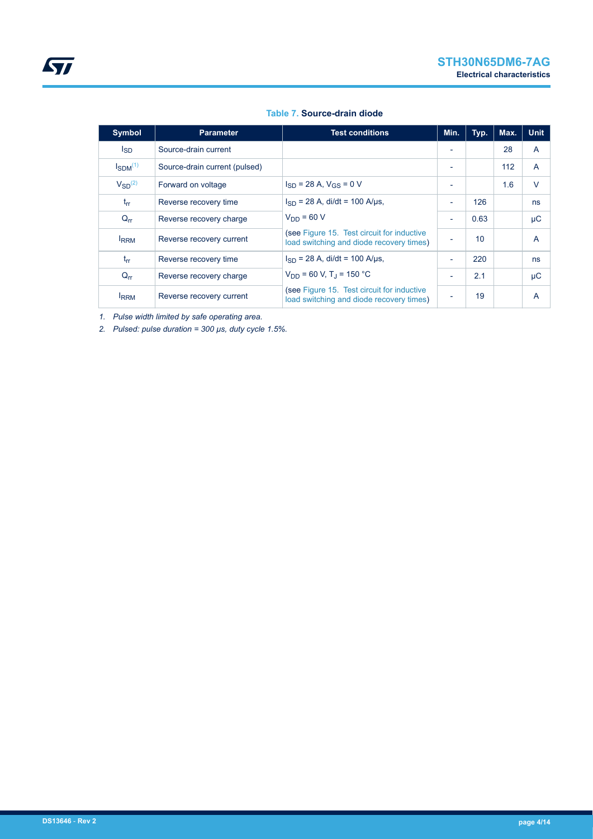<span id="page-3-0"></span>

| <b>Symbol</b>   | <b>Parameter</b>              | <b>Test conditions</b>                                                                 | Min.                     | Typ.            | Max. | <b>Unit</b> |
|-----------------|-------------------------------|----------------------------------------------------------------------------------------|--------------------------|-----------------|------|-------------|
| <sub>sD</sub>   | Source-drain current          |                                                                                        |                          |                 | 28   | A           |
| $I_{SDM}^{(1)}$ | Source-drain current (pulsed) |                                                                                        | ٠                        |                 | 112  | A           |
| $V_{SD}^{(2)}$  | Forward on voltage            | $I_{SD}$ = 28 A, $V_{GS}$ = 0 V                                                        | ٠                        |                 | 1.6  | $\vee$      |
| $t_{rr}$        | Reverse recovery time         | $I_{SD}$ = 28 A, di/dt = 100 A/µs,                                                     | $\overline{\phantom{a}}$ | 126             |      | ns          |
| $Q_{rr}$        | Reverse recovery charge       | $V_{DD} = 60 V$                                                                        | $\overline{\phantom{a}}$ | 0.63            |      | μC          |
| <b>IRRM</b>     | Reverse recovery current      | (see Figure 15. Test circuit for inductive<br>load switching and diode recovery times) | ٠                        | 10 <sup>1</sup> |      | A           |
| $t_{rr}$        | Reverse recovery time         | $I_{SD}$ = 28 A, di/dt = 100 A/us,                                                     | -                        | 220             |      | ns          |
| $Q_{rr}$        | Reverse recovery charge       | $V_{DD}$ = 60 V, T <sub>J</sub> = 150 °C                                               | $\overline{\phantom{a}}$ | 2.1             |      | μC          |
| <b>IRRM</b>     | Reverse recovery current      | (see Figure 15. Test circuit for inductive<br>load switching and diode recovery times) | -                        | 19              |      | A           |

### **Table 7. Source-drain diode**

*1. Pulse width limited by safe operating area.*

*2. Pulsed: pulse duration = 300 µs, duty cycle 1.5%.*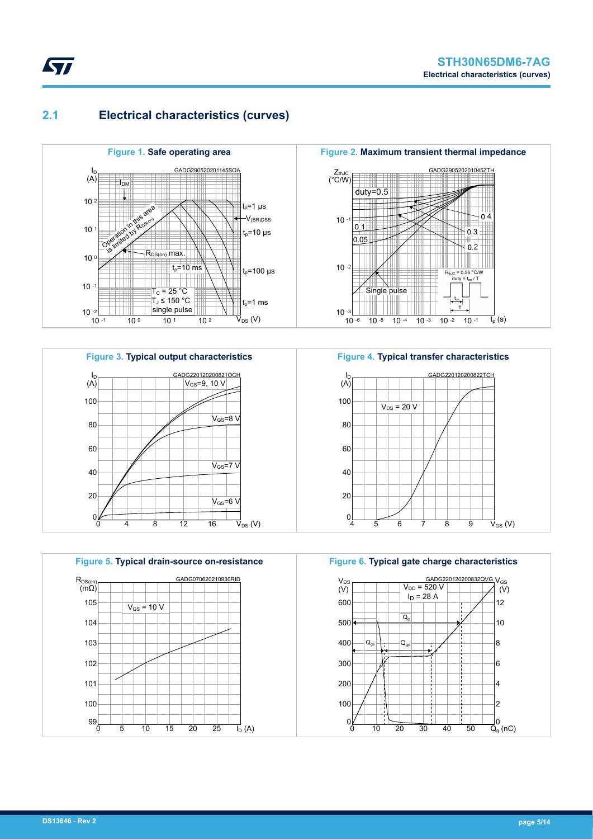### **2.1 Electrical characteristics (curves)**

<span id="page-4-0"></span>*kyl* 



**Figure 3. Typical output characteristics**





**Figure 2. Maximum transient thermal impedance**



**Figure 4. Typical transfer characteristics**



**Figure 6. Typical gate charge characteristics**

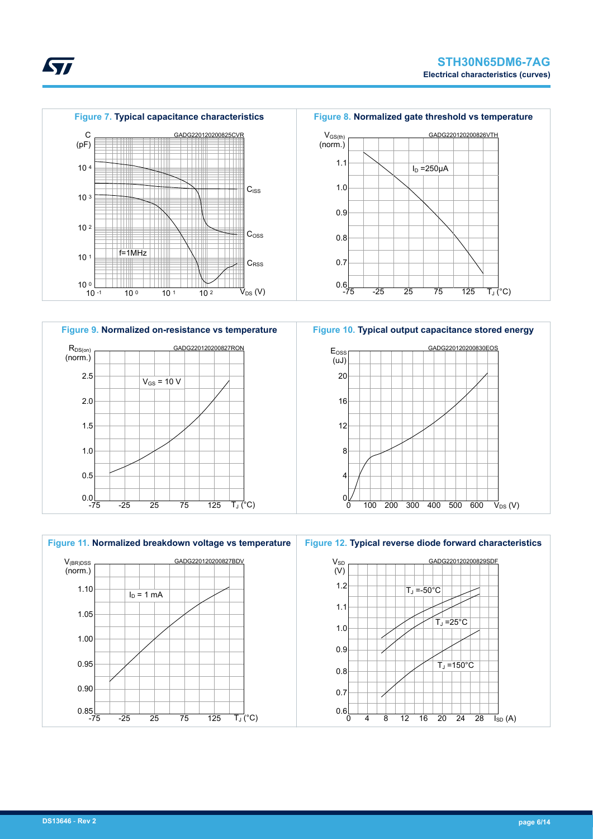











**Figure 8. Normalized gate threshold vs temperature**

**ST**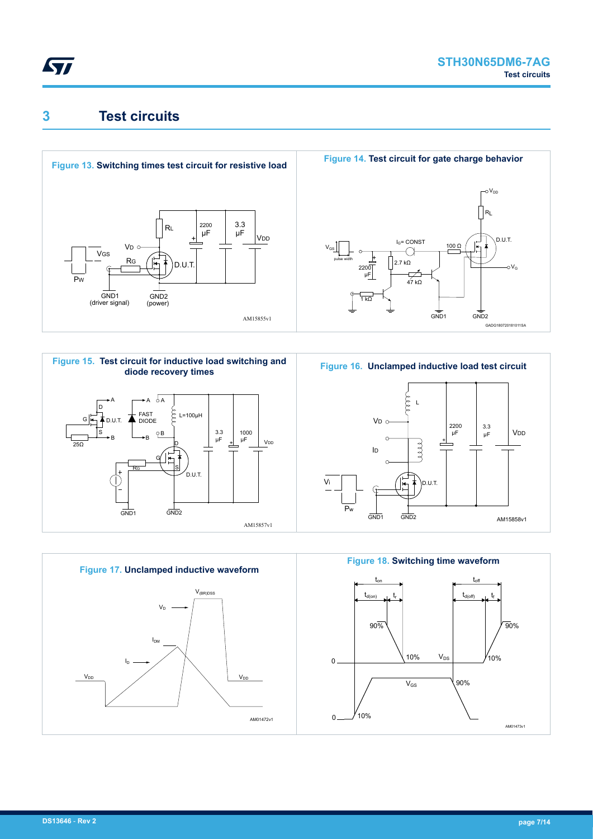<span id="page-6-0"></span>

## **3 Test circuits**











AM15858v1

V<sub>DD</sub>

3.3<br>uF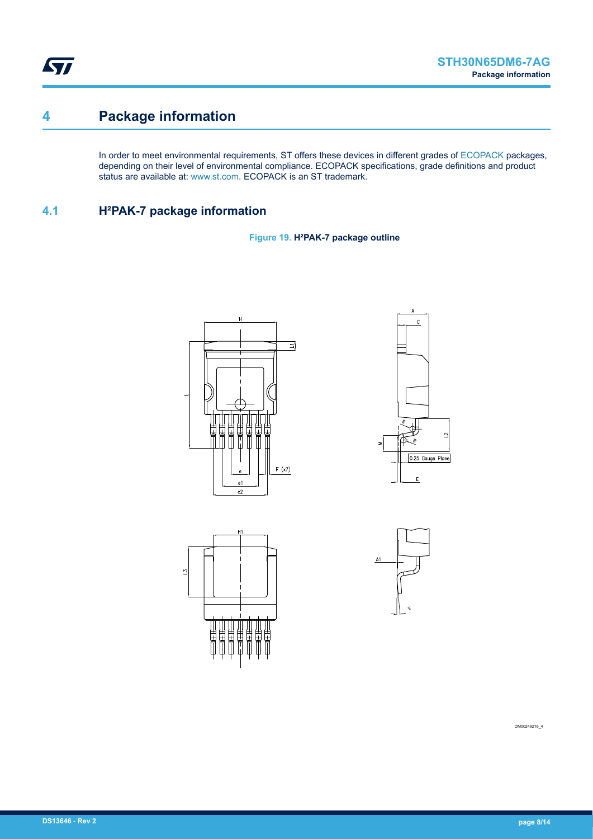<span id="page-7-0"></span>ST

# **4 Package information**

In order to meet environmental requirements, ST offers these devices in different grades of [ECOPACK](https://www.st.com/ecopack) packages, depending on their level of environmental compliance. ECOPACK specifications, grade definitions and product status are available at: [www.st.com.](http://www.st.com) ECOPACK is an ST trademark.

### **4.1 H²PAK-7 package information**

**Figure 19. H²PAK-7 package outline**







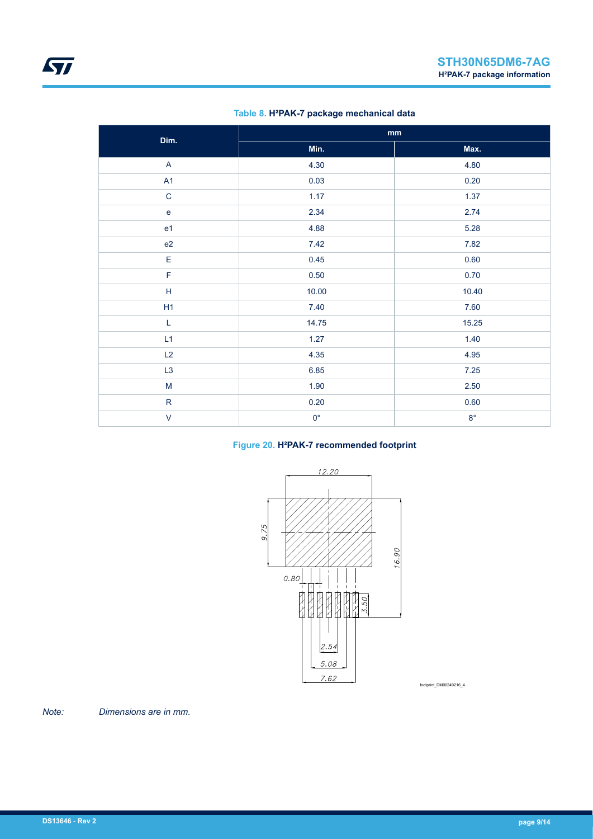| Dim.           |             | $\mathbf{mm}$ |
|----------------|-------------|---------------|
|                | Min.        | Max.          |
| $\mathsf{A}$   | 4.30        | 4.80          |
| A1             | 0.03        | 0.20          |
| $\mathbf C$    | 1.17        | 1.37          |
| $\mathbf e$    | 2.34        | 2.74          |
| e <sub>1</sub> | 4.88        | 5.28          |
| e2             | 7.42        | 7.82          |
| $\mathsf E$    | 0.45        | 0.60          |
| F              | 0.50        | 0.70          |
| $\mathsf H$    | 10.00       | 10.40         |
| H1             | 7.40        | 7.60          |
| L              | 14.75       | 15.25         |
| L1             | 1.27        | 1.40          |
| L2             | 4.35        | 4.95          |
| L3             | 6.85        | $7.25$        |
| ${\sf M}$      | 1.90        | 2.50          |
| ${\sf R}$      | $0.20\,$    | 0.60          |
| $\mathsf V$    | $0^{\circ}$ | $8^{\circ}$   |

### **Table 8. H²PAK-7 package mechanical data**

### **Figure 20. H²PAK-7 recommended footprint**



footprint\_DM00249216\_4

*Note: Dimensions are in mm.*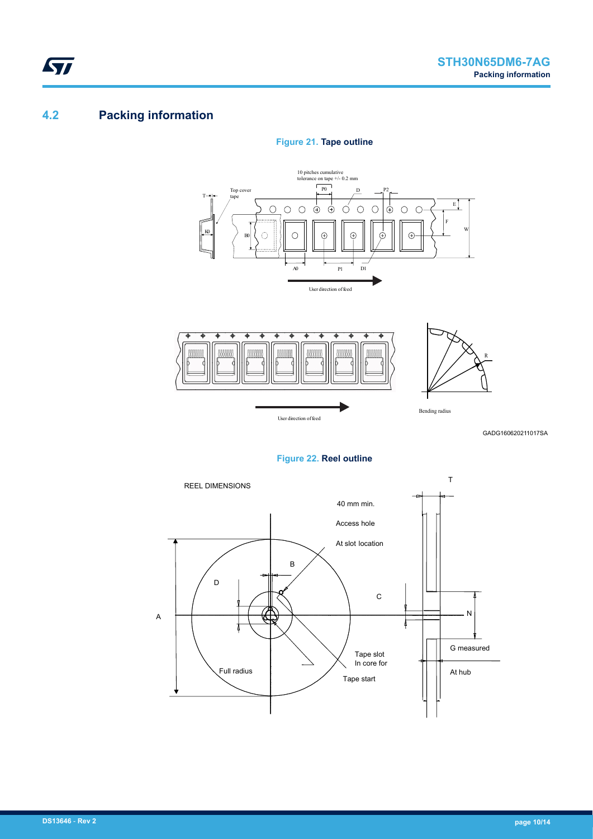## **4.2 Packing information**

<span id="page-9-0"></span>**STI** 

### **Figure 21. Tape outline**





GADG160620211017SA

### **Figure 22. Reel outline**

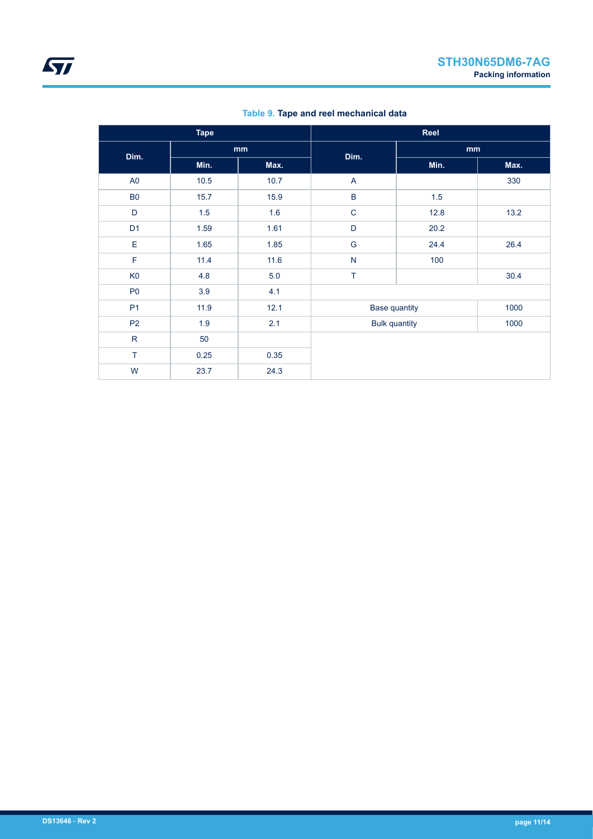| <b>Tape</b>    |      |      | Reel                 |      |      |
|----------------|------|------|----------------------|------|------|
| Dim.           | mm   |      | Dim.                 | mm   |      |
|                | Min. | Max. |                      | Min. | Max. |
| A <sub>0</sub> | 10.5 | 10.7 | A                    |      | 330  |
| <b>B0</b>      | 15.7 | 15.9 | $\sf B$              | 1.5  |      |
| D              | 1.5  | 1.6  | $\mathbf C$          | 12.8 | 13.2 |
| D <sub>1</sub> | 1.59 | 1.61 | D                    | 20.2 |      |
| E              | 1.65 | 1.85 | G                    | 24.4 | 26.4 |
| $\mathsf F$    | 11.4 | 11.6 | N                    | 100  |      |
| K <sub>0</sub> | 4.8  | 5.0  | T.                   |      | 30.4 |
| P <sub>0</sub> | 3.9  | 4.1  |                      |      |      |
| P <sub>1</sub> | 11.9 | 12.1 | <b>Base quantity</b> |      | 1000 |
| P <sub>2</sub> | 1.9  | 2.1  | <b>Bulk quantity</b> |      | 1000 |
| ${\sf R}$      | 50   |      |                      |      |      |
| T              | 0.25 | 0.35 |                      |      |      |
| W              | 23.7 | 24.3 |                      |      |      |

**Table 9. Tape and reel mechanical data**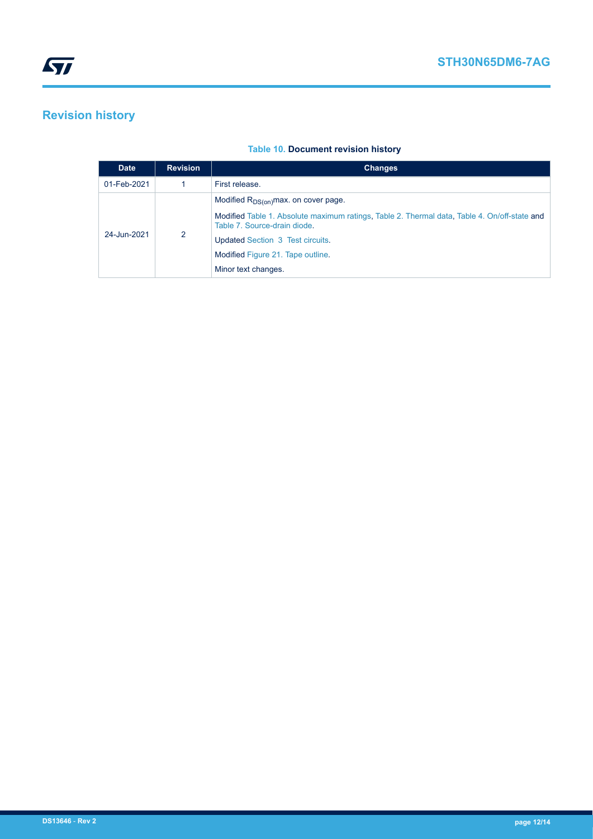# <span id="page-11-0"></span>**Revision history**

### **Table 10. Document revision history**

| <b>Date</b> | <b>Revision</b> | <b>Changes</b>                                                                                                               |
|-------------|-----------------|------------------------------------------------------------------------------------------------------------------------------|
| 01-Feb-2021 |                 | First release.                                                                                                               |
| 24-Jun-2021 | 2               | Modified $R_{DS(on)}$ max. on cover page.                                                                                    |
|             |                 | Modified Table 1. Absolute maximum ratings, Table 2. Thermal data, Table 4. On/off-state and<br>Table 7. Source-drain diode. |
|             |                 | Updated Section 3 Test circuits.                                                                                             |
|             |                 | Modified Figure 21. Tape outline.                                                                                            |
|             |                 | Minor text changes.                                                                                                          |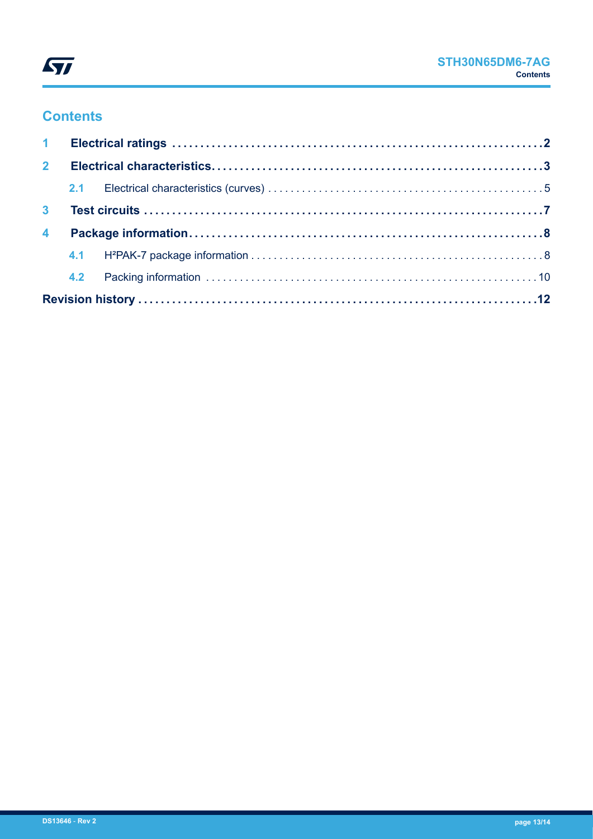

## **Contents**

| $2^{\circ}$    |  |  |  |  |  |  |
|----------------|--|--|--|--|--|--|
|                |  |  |  |  |  |  |
|                |  |  |  |  |  |  |
| $\overline{4}$ |  |  |  |  |  |  |
|                |  |  |  |  |  |  |
|                |  |  |  |  |  |  |
|                |  |  |  |  |  |  |